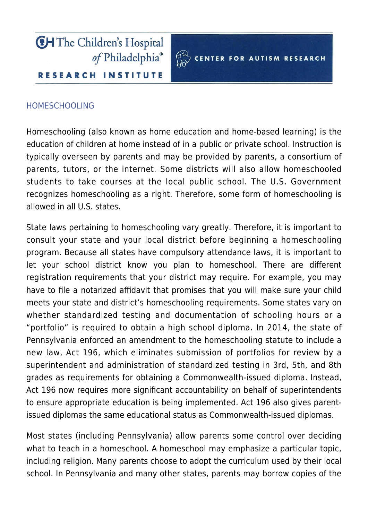



## [HOMESCHOOLING](https://www.carautismroadmap.org/homeschooling/)

Homeschooling (also known as home education and home-based learning) is the education of children at home instead of in a public or private school. Instruction is typically overseen by parents and may be provided by parents, a consortium of parents, tutors, or the internet. Some districts will also allow homeschooled students to take courses at the local public school. The U.S. Government recognizes homeschooling as a right. Therefore, some form of homeschooling is allowed in all U.S. states.

State laws pertaining to homeschooling vary greatly. Therefore, it is important to consult your state and your local district before beginning a homeschooling program. Because all states have compulsory attendance laws, it is important to let your school district know you plan to homeschool. There are different registration requirements that your district may require. For example, you may have to file a notarized affidavit that promises that you will make sure your child meets your state and district's homeschooling requirements. Some states vary on whether standardized testing and documentation of schooling hours or a "portfolio" is required to obtain a high school diploma. In 2014, the state of Pennsylvania enforced an amendment to the homeschooling statute to include a new law, Act 196, which eliminates submission of portfolios for review by a superintendent and administration of standardized testing in 3rd, 5th, and 8th grades as requirements for obtaining a Commonwealth-issued diploma. Instead, Act 196 now requires more significant accountability on behalf of superintendents to ensure appropriate education is being implemented. Act 196 also gives parentissued diplomas the same educational status as Commonwealth-issued diplomas.

Most states (including Pennsylvania) allow parents some control over deciding what to teach in a homeschool. A homeschool may emphasize a particular topic, including religion. Many parents choose to adopt the curriculum used by their local school. In Pennsylvania and many other states, parents may borrow copies of the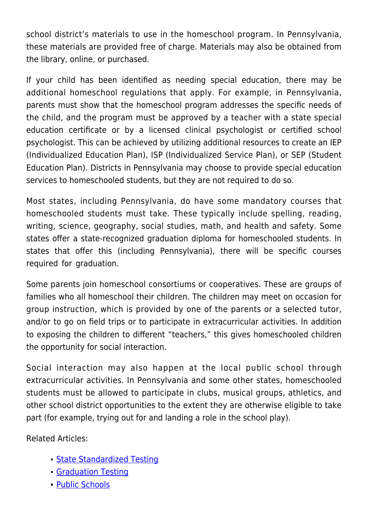school district's materials to use in the homeschool program. In Pennsylvania, these materials are provided free of charge. Materials may also be obtained from the library, online, or purchased.

If your child has been identified as needing special education, there may be additional homeschool regulations that apply. For example, in Pennsylvania, parents must show that the homeschool program addresses the specific needs of the child, and the program must be approved by a teacher with a state special education certificate or by a licensed clinical psychologist or certified school psychologist. This can be achieved by utilizing additional resources to create an IEP (Individualized Education Plan), ISP (Individualized Service Plan), or SEP (Student Education Plan). Districts in Pennsylvania may choose to provide special education services to homeschooled students, but they are not required to do so.

Most states, including Pennsylvania, do have some mandatory courses that homeschooled students must take. These typically include spelling, reading, writing, science, geography, social studies, math, and health and safety. Some states offer a state-recognized graduation diploma for homeschooled students. In states that offer this (including Pennsylvania), there will be specific courses required for graduation.

Some parents join homeschool consortiums or cooperatives. These are groups of families who all homeschool their children. The children may meet on occasion for group instruction, which is provided by one of the parents or a selected tutor, and/or to go on field trips or to participate in extracurricular activities. In addition to exposing the children to different "teachers," this gives homeschooled children the opportunity for social interaction.

Social interaction may also happen at the local public school through extracurricular activities. In Pennsylvania and some other states, homeschooled students must be allowed to participate in clubs, musical groups, athletics, and other school district opportunities to the extent they are otherwise eligible to take part (for example, trying out for and landing a role in the school play).

Related Articles:

- **[State Standardized Testing](https://www.carautismroadmap.org/state-standardized-testing/)**
- **[Graduation Testing](https://www.carautismroadmap.org/graduation-testing/)**
- [Public Schools](http://prvdr-meta-carautismroadmap.pantheonsite.io/public-schools/)